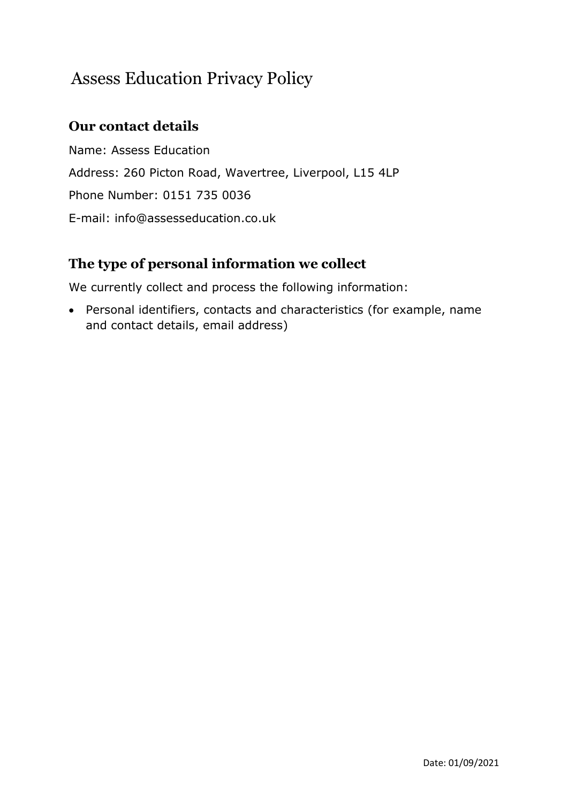# Assess Education Privacy Policy

# **Our contact details**

Name: Assess Education Address: 260 Picton Road, Wavertree, Liverpool, L15 4LP Phone Number: 0151 735 0036 E-mail: info@assesseducation.co.uk

# **The type of personal information we collect**

We currently collect and process the following information:

• Personal identifiers, contacts and characteristics (for example, name and contact details, email address)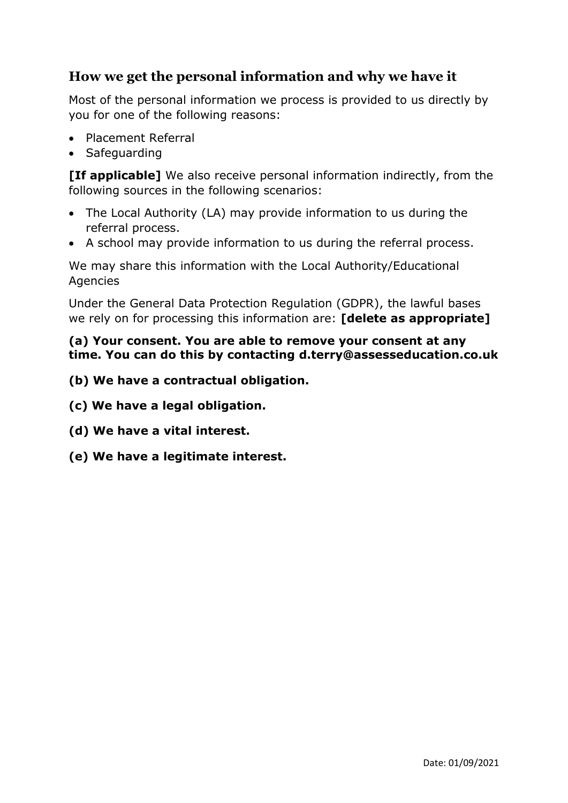## **How we get the personal information and why we have it**

Most of the personal information we process is provided to us directly by you for one of the following reasons:

- Placement Referral
- Safeguarding

**[If applicable]** We also receive personal information indirectly, from the following sources in the following scenarios:

- The Local Authority (LA) may provide information to us during the referral process.
- A school may provide information to us during the referral process.

We may share this information with the Local Authority/Educational **Agencies** 

Under the General Data Protection Regulation (GDPR), the lawful bases we rely on for processing this information are: **[delete as appropriate]**

#### **(a) Your consent. You are able to remove your consent at any time. You can do this by contacting d.terry@assesseducation.co.uk**

- **(b) We have a contractual obligation.**
- **(c) We have a legal obligation.**
- **(d) We have a vital interest.**
- **(e) We have a legitimate interest.**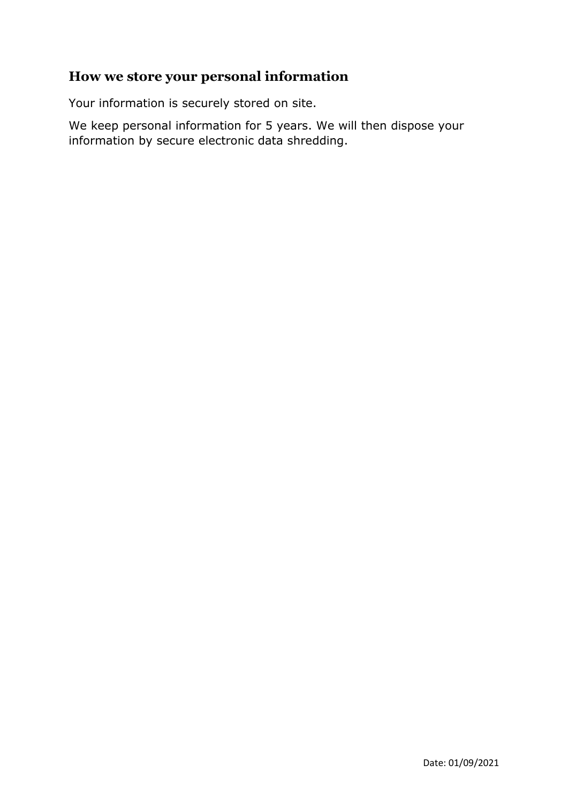### **How we store your personal information**

Your information is securely stored on site.

We keep personal information for 5 years. We will then dispose your information by secure electronic data shredding.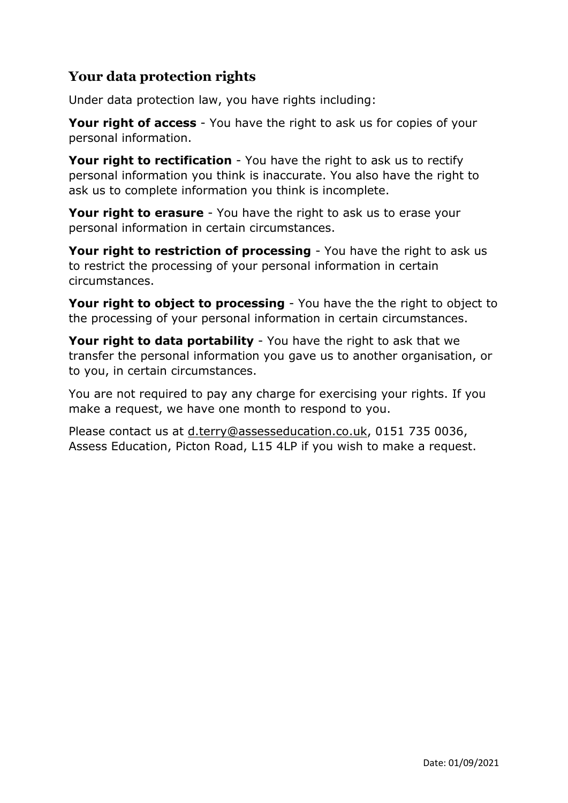# **Your data protection rights**

Under data protection law, you have rights including:

**Your right of access** - You have the right to ask us for copies of your personal information.

**Your right to rectification** - You have the right to ask us to rectify personal information you think is inaccurate. You also have the right to ask us to complete information you think is incomplete.

**Your right to erasure** - You have the right to ask us to erase your personal information in certain circumstances.

**Your right to restriction of processing** - You have the right to ask us to restrict the processing of your personal information in certain circumstances.

**Your right to object to processing** - You have the the right to object to the processing of your personal information in certain circumstances.

**Your right to data portability** - You have the right to ask that we transfer the personal information you gave us to another organisation, or to you, in certain circumstances.

You are not required to pay any charge for exercising your rights. If you make a request, we have one month to respond to you.

Please contact us at [d.terry@assesseducation.co.uk,](mailto:d.terry@assesseducation.co.uk) 0151 735 0036, Assess Education, Picton Road, L15 4LP if you wish to make a request.